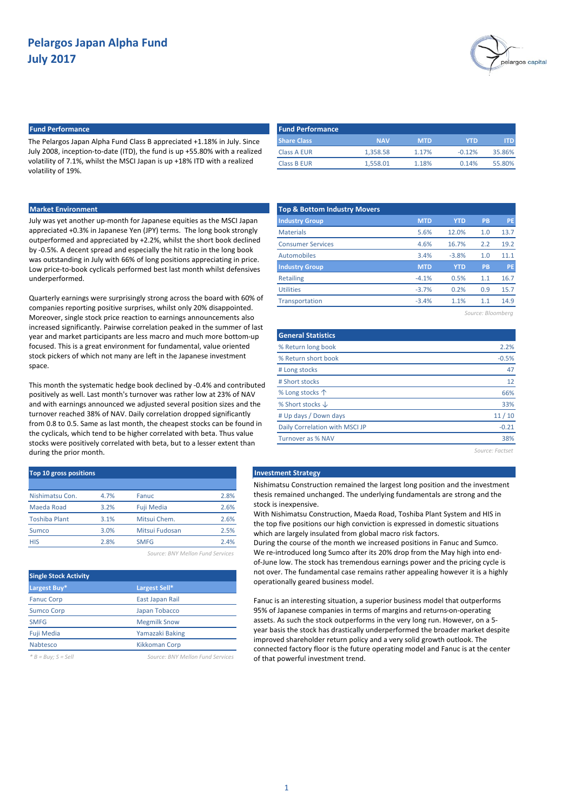

## **Fund Performance Fund Performance**

The Pelargos Japan Alpha Fund Class B appreciated +1.18% in July. Since July 2008, inception-to-date (ITD), the fund is up +55.80% with a realized volatility of 7.1%, whilst the MSCI Japan is up +18% ITD with a realized volatility of 19%.

|  | <b>Market Environmen</b> |  |
|--|--------------------------|--|
|  |                          |  |
|  |                          |  |

Quarterly earnings were surprisingly strong across the board with 60% of companies reporting positive surprises, whilst only 20% disappointed. Moreover, single stock price reaction to earnings announcements also increased significantly. Pairwise correlation peaked in the summer of last year and market participants are less macro and much more bottom-up focused. This is a great environment for fundamental, value oriented stock pickers of which not many are left in the Japanese investment space.

This month the systematic hedge book declined by -0.4% and contributed positively as well. Last month's turnover was rather low at 23% of NAV and with earnings announced we adjusted several position sizes and the turnover reached 38% of NAV. Daily correlation dropped significantly from 0.8 to 0.5. Same as last month, the cheapest stocks can be found in the cyclicals, which tend to be higher correlated with beta. Thus value stocks were positively correlated with beta, but to a lesser extent than during the prior month.

| <b>Top 10 gross positions</b> |      |                   |      |  |  |  |  |  |  |  |
|-------------------------------|------|-------------------|------|--|--|--|--|--|--|--|
|                               |      |                   |      |  |  |  |  |  |  |  |
| Nishimatsu Con.               | 4.7% | Fanuc             | 2.8% |  |  |  |  |  |  |  |
| Maeda Road                    | 3.2% | <b>Fuji Media</b> | 2.6% |  |  |  |  |  |  |  |
| <b>Toshiba Plant</b>          | 3.1% | Mitsui Chem.      | 2.6% |  |  |  |  |  |  |  |
| Sumco                         | 3.0% | Mitsui Fudosan    | 2.5% |  |  |  |  |  |  |  |
| <b>HIS</b>                    | 2.8% | <b>SMFG</b>       | 2.4% |  |  |  |  |  |  |  |
|                               |      |                   |      |  |  |  |  |  |  |  |

*Source: BNY Mellon Fund Services*

| <b>Single Stock Activity</b> |                                  |
|------------------------------|----------------------------------|
| Largest Buy*                 | Largest Sell*                    |
| <b>Fanuc Corp</b>            | East Japan Rail                  |
| <b>Sumco Corp</b>            | Japan Tobacco                    |
| <b>SMFG</b>                  | <b>Megmilk Snow</b>              |
| <b>Fuji Media</b>            | Yamazaki Baking                  |
| Nabtesco                     | <b>Kikkoman Corp</b>             |
| $B = Buy; S = Sell$          | Source: BNY Mellon Fund Services |

| <b>Fund Performance</b> |            |            |          |        |
|-------------------------|------------|------------|----------|--------|
| <b>Share Class</b>      | <b>NAV</b> | <b>MTD</b> | YTD      | ITD.   |
| Class A EUR             | 1.358.58   | 1.17%      | $-0.12%$ | 35.86% |
| Class B EUR             | 1.558.01   | 1.18%      | 0.14%    | 55.80% |

| <b>Market Environment</b>                                                                                                                                                                                                                                                                              | <b>Top &amp; Bottom Industry Movers</b> |            |            |           |           |
|--------------------------------------------------------------------------------------------------------------------------------------------------------------------------------------------------------------------------------------------------------------------------------------------------------|-----------------------------------------|------------|------------|-----------|-----------|
| July was yet another up-month for Japanese equities as the MSCI Japan                                                                                                                                                                                                                                  | <b>Industry Group</b>                   | <b>MTD</b> | <b>YTD</b> | <b>PB</b> | PE.       |
| appreciated +0.3% in Japanese Yen (JPY) terms. The long book strongly<br>outperformed and appreciated by +2.2%, whilst the short book declined<br>by -0.5%. A decent spread and especially the hit ratio in the long book<br>was outstanding in July with 66% of long positions appreciating in price. | <b>Materials</b>                        | 5.6%       | 12.0%      | 1.0       | 13.7      |
|                                                                                                                                                                                                                                                                                                        | <b>Consumer Services</b>                | 4.6%       | 16.7%      | 2.2       | 19.2      |
|                                                                                                                                                                                                                                                                                                        | Automobiles                             | 3.4%       | $-3.8%$    | 1.0       | 11.1      |
| Low price-to-book cyclicals performed best last month whilst defensives                                                                                                                                                                                                                                | <b>Industry Group</b>                   | <b>MTD</b> | <b>YTD</b> | <b>PB</b> | <b>PE</b> |
| underperformed.                                                                                                                                                                                                                                                                                        | Retailing                               | $-4.1%$    | 0.5%       | 1.1       | 16.7      |
|                                                                                                                                                                                                                                                                                                        | <b>Utilities</b>                        | $-3.7%$    | 0.2%       | 0.9       | 15.7      |
| Quarterly earnings were surprisingly strong across the board with 60% of<br>componies reporting positive surprises, whilst aphy 200/ disconneinted                                                                                                                                                     | <b>Transportation</b>                   | $-3.4%$    | 1.1%       | 1.1       | 14.9      |
|                                                                                                                                                                                                                                                                                                        |                                         |            |            |           |           |

*Source: Bloomberg*

| <b>General Statistics</b>      |                 |
|--------------------------------|-----------------|
| % Return long book             | 2.2%            |
| % Return short book            | $-0.5%$         |
| # Long stocks                  | 47              |
| # Short stocks                 | 12              |
| % Long stocks 个                | 66%             |
| % Short stocks $\downarrow$    | 33%             |
| # Up days / Down days          | 11/10           |
| Daily Correlation with MSCI JP | $-0.21$         |
| Turnover as % NAV              | 38%             |
|                                | Source: Factset |

#### **Investment Strategy**

Nishimatsu Construction remained the largest long position and the investment thesis remained unchanged. The underlying fundamentals are strong and the stock is inexpensive.

With Nishimatsu Construction, Maeda Road, Toshiba Plant System and HIS in the top five positions our high conviction is expressed in domestic situations which are largely insulated from global macro risk factors.

During the course of the month we increased positions in Fanuc and Sumco. We re-introduced long Sumco after its 20% drop from the May high into endof-June low. The stock has tremendous earnings power and the pricing cycle is not over. The fundamental case remains rather appealing however it is a highly operationally geared business model.

Fanuc is an interesting situation, a superior business model that outperforms 95% of Japanese companies in terms of margins and returns-on-operating assets. As such the stock outperforms in the very long run. However, on a 5 year basis the stock has drastically underperformed the broader market despite improved shareholder return policy and a very solid growth outlook. The connected factory floor is the future operating model and Fanuc is at the center of that powerful investment trend.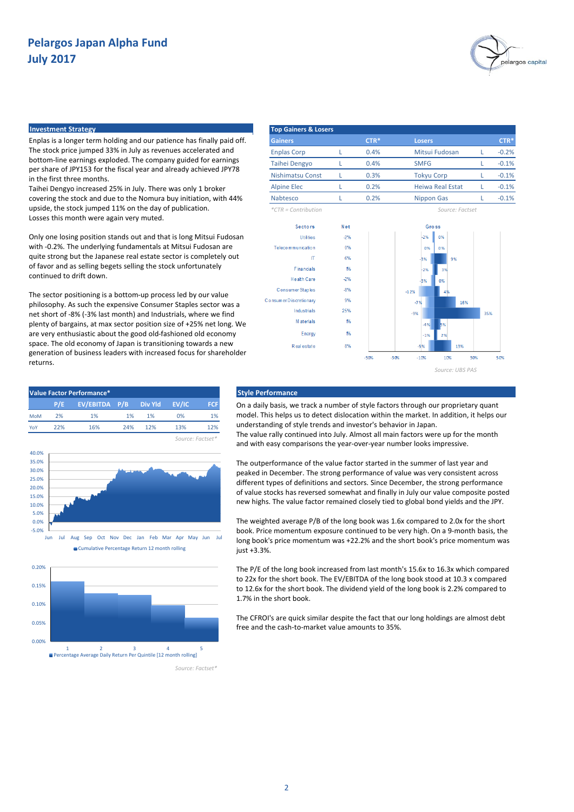

## **Investment Strategy**

-5.0% 0.0% 5.0% 10.0% 15.0% 20.0% 25.0% 30.0% 35.0% 40.0%

0.00% 0.05% 0.10% 0.15% 0.20%

Enplas is a longer term holding and our patience has finally paid off. The stock price jumped 33% in July as revenues accelerated and bottom-line earnings exploded. The company guided for earnings per share of JPY153 for the fiscal year and already achieved JPY78 in the first three months.

Taihei Dengyo increased 25% in July. There was only 1 broker covering the stock and due to the Nomura buy initiation, with 44% upside, the stock jumped 11% on the day of publication. Losses this month were again very muted.

Only one losing position stands out and that is long Mitsui Fudosan with -0.2%. The underlying fundamentals at Mitsui Fudosan are quite strong but the Japanese real estate sector is completely out of favor and as selling begets selling the stock unfortunately continued to drift down.

The sector positioning is a bottom-up process led by our value philosophy. As such the expensive Consumer Staples sector was a net short of -8% (-3% last month) and Industrials, where we find plenty of bargains, at max sector position size of +25% net long. We are very enthusiastic about the good old-fashioned old economy space. The old economy of Japan is transitioning towards a new generation of business leaders with increased focus for shareholder returns.

**P/E P/B FCF EV/EBITDA Div Yld EV/IC** MoM 2% 1% 1% 1% YoY 22% 16% 24% 12%

Jun Jul Aug Sep Oct Nov Dec Jan Feb Mar Apr May Jun Jul Cumulative Percentage Return 12 month rolling

12%

1%

| <b>Top Gainers &amp; Losers</b> |        |                         |         |
|---------------------------------|--------|-------------------------|---------|
| <b>Gainers</b>                  | $CTR*$ | <b>Losers</b>           | CTR*    |
| <b>Enplas Corp</b>              | 0.4%   | Mitsui Fudosan          | $-0.2%$ |
| <b>Taihei Dengyo</b>            | 0.4%   | <b>SMFG</b>             | $-0.1%$ |
| <b>Nishimatsu Const</b>         | 0.3%   | <b>Tokyu Corp</b>       | $-0.1%$ |
| <b>Alpine Elec</b>              | 0.2%   | <b>Heiwa Real Estat</b> | $-0.1%$ |
| <b>Nabtesco</b>                 | 0.2%   | <b>Nippon Gas</b>       | $-0.1%$ |
| $*CTR = Contribution$           |        | Source: Eactset         |         |



### **Value Factor Performance\* Style Performance**

On a daily basis, we track a number of style factors through our proprietary quant model. This helps us to detect dislocation within the market. In addition, it helps our understanding of style trends and investor's behavior in Japan.

The value rally continued into July. Almost all main factors were up for the month and with easy comparisons the year-over-year number looks impressive.

The outperformance of the value factor started in the summer of last year and peaked in December. The strong performance of value was very consistent across different types of definitions and sectors. Since December, the strong performance of value stocks has reversed somewhat and finally in July our value composite posted new highs. The value factor remained closely tied to global bond yields and the JPY.

The weighted average P/B of the long book was 1.6x compared to 2.0x for the short book. Price momentum exposure continued to be very high. On a 9-month basis, the long book's price momentum was +22.2% and the short book's price momentum was just +3.3%.

The P/E of the long book increased from last month's 15.6x to 16.3x which compared to 22x for the short book. The EV/EBITDA of the long book stood at 10.3 x compared to 12.6x for the short book. The dividend yield of the long book is 2.2% compared to 1.7% in the short book.

The CFROI's are quick similar despite the fact that our long holdings are almost debt free and the cash-to-market value amounts to 35%.



*Source: Factset\**

*Source: Factset\**

 $0<sup>o</sup>$ 13%

2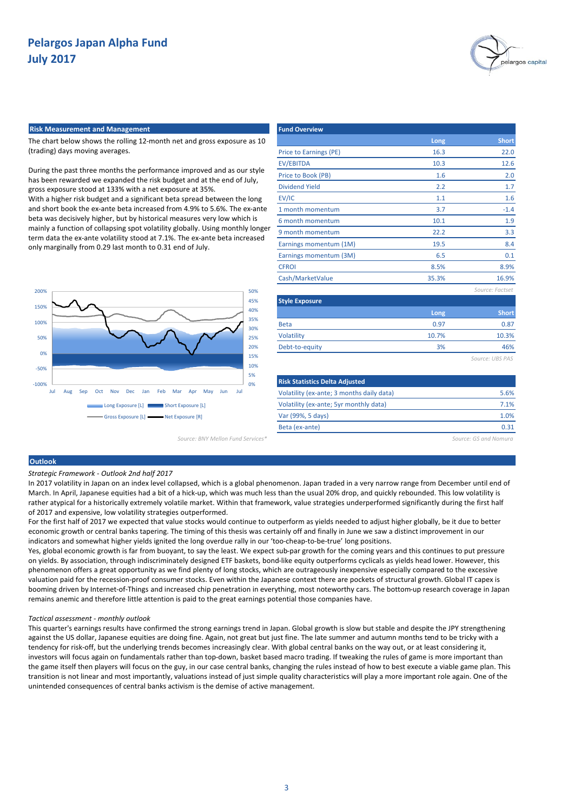

#### **Risk Measurement and Management**

The chart below shows the rolling 12-month net and gross exposure as 10 (trading) days moving averages.

During the past three months the performance improved and as our style has been rewarded we expanded the risk budget and at the end of July, gross exposure stood at 133% with a net exposure at 35%.

With a higher risk budget and a significant beta spread between the long and short book the ex-ante beta increased from 4.9% to 5.6%. The ex-ante beta was decisively higher, but by historical measures very low which is mainly a function of collapsing spot volatility globally. Using monthly longer term data the ex-ante volatility stood at 7.1%. The ex-ante beta increased only marginally from 0.29 last month to 0.31 end of July.



| Source: BNY Mellon Fund Services* |  |  |  |  |  |  |
|-----------------------------------|--|--|--|--|--|--|
|-----------------------------------|--|--|--|--|--|--|

| <b>Fund Overview</b>                      |       |                 |
|-------------------------------------------|-------|-----------------|
|                                           | Long  | <b>Short</b>    |
| Price to Earnings (PE)                    | 16.3  | 22.0            |
| <b>EV/EBITDA</b>                          | 10.3  | 12.6            |
| Price to Book (PB)                        | 1.6   | 2.0             |
| <b>Dividend Yield</b>                     | 2.2   | 1.7             |
| EV/IC                                     | 1.1   | 1.6             |
| 1 month momentum                          | 3.7   | $-1.4$          |
| 6 month momentum                          | 10.1  | 1.9             |
| 9 month momentum                          | 22.2  | 3.3             |
| Earnings momentum (1M)                    | 19.5  | 8.4             |
| Earnings momentum (3M)                    | 6.5   | 0.1             |
| <b>CFROI</b>                              | 8.5%  | 8.9%            |
| Cash/MarketValue                          | 35.3% | 16.9%           |
|                                           |       | Source: Factset |
| <b>Style Exposure</b>                     |       |                 |
|                                           | Long  | <b>Short</b>    |
| <b>Beta</b>                               | 0.97  | 0.87            |
| Volatility                                | 10.7% | 10.3%           |
| Debt-to-equity                            | 3%    | 46%             |
|                                           |       | Source: UBS PAS |
|                                           |       |                 |
| <b>Risk Statistics Delta Adjusted</b>     |       |                 |
| Volatility (ex-ante; 3 months daily data) |       | 5.6%            |
| Volatility (ex-ante; 5yr monthly data)    |       | 7.1%            |

*Source: BNY Mellon Fund Services\* Source: GS and Nomura*

0.31

1.0%

### **Outlook**

### *Strategic Framework - Outlook 2nd half 2017*

In 2017 volatility in Japan on an index level collapsed, which is a global phenomenon. Japan traded in a very narrow range from December until end of March. In April, Japanese equities had a bit of a hick-up, which was much less than the usual 20% drop, and quickly rebounded. This low volatility is rather atypical for a historically extremely volatile market. Within that framework, value strategies underperformed significantly during the first half of 2017 and expensive, low volatility strategies outperformed.

Var (99%, 5 days) Beta (ex-ante)

For the first half of 2017 we expected that value stocks would continue to outperform as yields needed to adjust higher globally, be it due to better economic growth or central banks tapering. The timing of this thesis was certainly off and finally in June we saw a distinct improvement in our indicators and somewhat higher yields ignited the long overdue rally in our 'too-cheap-to-be-true' long positions.

Yes, global economic growth is far from buoyant, to say the least. We expect sub-par growth for the coming years and this continues to put pressure on yields. By association, through indiscriminately designed ETF baskets, bond-like equity outperforms cyclicals as yields head lower. However, this phenomenon offers a great opportunity as we find plenty of long stocks, which are outrageously inexpensive especially compared to the excessive valuation paid for the recession-proof consumer stocks. Even within the Japanese context there are pockets of structural growth. Global IT capex is booming driven by Internet-of-Things and increased chip penetration in everything, most noteworthy cars. The bottom-up research coverage in Japan remains anemic and therefore little attention is paid to the great earnings potential those companies have.

#### *Tactical assessment - monthly outlook*

This quarter's earnings results have confirmed the strong earnings trend in Japan. Global growth is slow but stable and despite the JPY strengthening against the US dollar, Japanese equities are doing fine. Again, not great but just fine. The late summer and autumn months tend to be tricky with a tendency for risk-off, but the underlying trends becomes increasingly clear. With global central banks on the way out, or at least considering it, investors will focus again on fundamentals rather than top-down, basket based macro trading. If tweaking the rules of game is more important than the game itself then players will focus on the guy, in our case central banks, changing the rules instead of how to best execute a viable game plan. This transition is not linear and most importantly, valuations instead of just simple quality characteristics will play a more important role again. One of the unintended consequences of central banks activism is the demise of active management.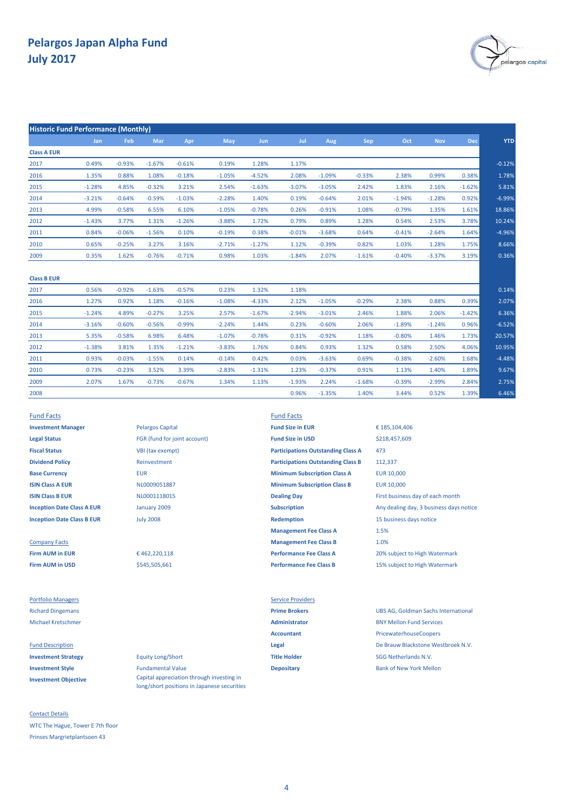

| <b>Historic Fund Performance (Monthly)</b> |          |          |          |          |          |            |          |          |          |          |            |            |            |
|--------------------------------------------|----------|----------|----------|----------|----------|------------|----------|----------|----------|----------|------------|------------|------------|
|                                            | Jan      | Feb      | Mar      | Apr      | May      | <b>Jun</b> | Jul      | Aug      | Sep      | Oct      | <b>Nov</b> | <b>Dec</b> | <b>YTD</b> |
| <b>Class A EUR</b>                         |          |          |          |          |          |            |          |          |          |          |            |            |            |
| 2017                                       | 0.49%    | $-0.93%$ | $-1.67%$ | $-0.61%$ | 0.19%    | 1.28%      | 1.17%    |          |          |          |            |            | $-0.12%$   |
| 2016                                       | 1.35%    | 0.88%    | 1.08%    | $-0.18%$ | $-1.05%$ | $-4.52%$   | 2.08%    | $-1.09%$ | $-0.33%$ | 2.38%    | 0.99%      | 0.38%      | 1.78%      |
| 2015                                       | $-1.28%$ | 4.85%    | $-0.32%$ | 3.21%    | 2.54%    | $-1.63%$   | $-3.07%$ | $-3.05%$ | 2.42%    | 1.83%    | 2.16%      | $-1.62%$   | 5.81%      |
| 2014                                       | $-3.21%$ | $-0.64%$ | $-0.59%$ | $-1.03%$ | $-2.28%$ | 1.40%      | 0.19%    | $-0.64%$ | 2.01%    | $-1.94%$ | $-1.28%$   | 0.92%      | $-6.99%$   |
| 2013                                       | 4.99%    | $-0.58%$ | 6.55%    | 6.10%    | $-1.05%$ | $-0.78%$   | 0.26%    | $-0.91%$ | 1.08%    | $-0.79%$ | 1.35%      | 1.61%      | 18.86%     |
| 2012                                       | $-1.43%$ | 3.77%    | 1.31%    | $-1.26%$ | $-3.88%$ | 1.72%      | 0.79%    | 0.89%    | 1.28%    | 0.54%    | 2.53%      | 3.78%      | 10.24%     |
| 2011                                       | 0.84%    | $-0.06%$ | $-1.56%$ | 0.10%    | $-0.19%$ | 0.38%      | $-0.01%$ | $-3.68%$ | 0.64%    | $-0.41%$ | $-2.64%$   | 1.64%      | $-4.96%$   |
| 2010                                       | 0.65%    | $-0.25%$ | 3.27%    | 3.16%    | $-2.71%$ | $-1.27%$   | 1.12%    | $-0.39%$ | 0.82%    | 1.03%    | 1.28%      | 1.75%      | 8.66%      |
| 2009                                       | 0.35%    | 1.62%    | $-0.76%$ | $-0.71%$ | 0.98%    | 1.03%      | $-1.84%$ | 2.07%    | $-1.61%$ | $-0.40%$ | $-3.37%$   | 3.19%      | 0.36%      |
| <b>Class B EUR</b>                         |          |          |          |          |          |            |          |          |          |          |            |            |            |
| 2017                                       | 0.56%    | $-0.92%$ | $-1.63%$ | $-0.57%$ | 0.23%    | 1.32%      | 1.18%    |          |          |          |            |            | 0.14%      |
| 2016                                       | 1.27%    | 0.92%    | 1.18%    | $-0.16%$ | $-1.08%$ | $-4.33%$   | 2.12%    | $-1.05%$ | $-0.29%$ | 2.38%    | 0.88%      | 0.39%      | 2.07%      |
| 2015                                       | $-1.24%$ | 4.89%    | $-0.27%$ | 3.25%    | 2.57%    | $-1.67%$   | $-2.94%$ | $-3.01%$ | 2.46%    | 1.88%    | 2.06%      | $-1.42%$   | 6.36%      |
| 2014                                       | $-3.16%$ | $-0.60%$ | $-0.56%$ | $-0.99%$ | $-2.24%$ | 1.44%      | 0.23%    | $-0.60%$ | 2.06%    | $-1.89%$ | $-1.24%$   | 0.96%      | $-6.52%$   |
| 2013                                       | 5.35%    | $-0.58%$ | 6.98%    | 6.48%    | $-1.07%$ | $-0.78%$   | 0.31%    | $-0.92%$ | 1.18%    | $-0.80%$ | 1.46%      | 1.73%      | 20.57%     |
| 2012                                       | $-1.38%$ | 3.81%    | 1.35%    | $-1.21%$ | $-3.83%$ | 1.76%      | 0.84%    | 0.93%    | 1.32%    | 0.58%    | 2.50%      | 4.06%      | 10.95%     |
| 2011                                       | 0.93%    | $-0.03%$ | $-1.55%$ | 0.14%    | $-0.14%$ | 0.42%      | 0.03%    | $-3.63%$ | 0.69%    | $-0.38%$ | $-2.60%$   | 1.68%      | $-4.48%$   |
| 2010                                       | 0.73%    | $-0.23%$ | 3.52%    | 3.39%    | $-2.83%$ | $-1.31%$   | 1.23%    | $-0.37%$ | 0.91%    | 1.13%    | 1.40%      | 1.89%      | 9.67%      |
| 2009                                       | 2.07%    | 1.67%    | $-0.73%$ | $-0.67%$ | 1.34%    | 1.13%      | $-1.93%$ | 2.24%    | $-1.68%$ | $-0.39%$ | $-2.99%$   | 2.84%      | 2.75%      |
| 2008                                       |          |          |          |          |          |            | 0.96%    | $-1.35%$ | 1.40%    | 3.44%    | 0.52%      | 1.39%      | 6.46%      |
|                                            |          |          |          |          |          |            |          |          |          |          |            |            |            |

Fund Facts Fund Facts **Investment Manager Fund Size in EUR** Pelargos Capital **Fund Size in EUR Legal Status** FGR (fund for joint account) **Fund Size in USD Fiscal Status** VBI (tax exempt) **Dividend Policy Reinvestment** 

**Firm AUM in USD Performance Fee Class B** 15% subject to High Watermark

Portfolio Managers **Service Providers** Service Providers

**Investment Objective**

Contact Details WTC The Hague, Tower E 7th floor Prinses Margrietplantsoen 43

January 2009 July 2008

€ 462,220,118 \$545,505,661

**Investment Strategy** Equity Long/Short **Title Holder** SGG Netherlands N.V. **Investment Style Fundamental Value Depositary Depositary Bank of New York Mellon** Capital appreciation through investing in

long/short positions in Japanese securities

**Base Currency** EUR EUR 10,000 **Minimum Subscription Class A ISIN Class A EUR EUR ISIN CLASS A EURE A CONSUMITY OF THE CONSUMINITY OF THE CURT OF THE CURT OF THE CURT OF THE CURT OF THE CURT OF THE CURT OF THE CURT OF THE CURT OF THE CURT OF THE CURT OF THE CURT OF THE CURT OF ISIN Class B EUR ISIN Class B EUR** NL0001118015 **Dealing Day Dealing Day** First business day of each month **Inception Date Class B EUR Redemption Redemption** 15 business days notice **Management Fee Class A** Company Facts **Management Fee Class B Firm AUM in EUR Performance Fee Class A** 20% subject to High Watermark **Participations Outstanding Class B Participations Outstanding Class A**

**Inception Date Class A EUR Subscription Subscription** Any dealing day, 3 business days notice 1.5% 1.0% € 185,104,406 473 112,337 \$218,457,609

Richard Dingemans **Prime Brokers** UBS AG, Goldman Sachs International Michael Kretschmer **Administrator** BNY Mellon Fund Services **Accountant** PricewaterhouseCoopers Fund Description **Legal** De Brauw Blackstone Westbroek N.V.